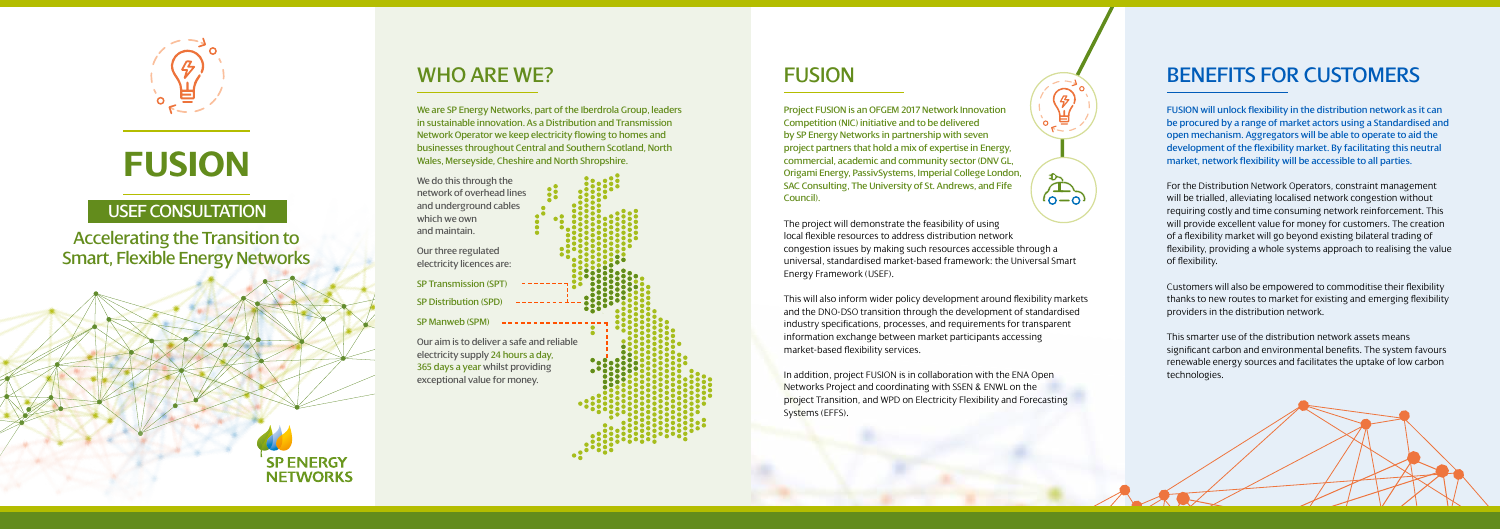

# **FUSION**

Accelerating the Transition to Smart, Flexible Energy Networks



#### WHO ARE WE? FUSION

We are SP Energy Networks, part of the Iberdrola Group, leaders in sustainable innovation. As a Distribution and Transmission Network Operator we keep electricity flowing to homes and businesses throughout Central and Southern Scotland, North Wales, Merseyside, Cheshire and North Shropshire.

SP Transmission (SPT)  $SP$  Distribution (SPD)  $\leftarrow$   $\leftarrow$   $\leftarrow$   $\leftarrow$   $\leftarrow$   $\leftarrow$   $\leftarrow$   $\leftarrow$   $\leftarrow$   $\leftarrow$   $\leftarrow$   $\leftarrow$   $\leftarrow$   $\leftarrow$   $\leftarrow$   $\leftarrow$   $\leftarrow$   $\leftarrow$   $\leftarrow$   $\leftarrow$   $\leftarrow$   $\leftarrow$   $\leftarrow$   $\leftarrow$   $\leftarrow$   $\leftarrow$   $\leftarrow$   $\leftarrow$   $\leftarrow$   $\leftarrow$   $\leftarrow$   $\leftarrow$   $\leftarrow$ 

SP Manweb (SPM)  $-$ -------------

We do this through the network of overhead lines and underground cables which we own and maintain. Our three regulated electricity licences are:

Our aim is to deliver a safe and reliable electricity supply 24 hours a day, 365 days a year whilst providing exceptional value for money.

Project FUSION is an OFGEM 2017 Network Innovation Competition (NIC) initiative and to be delivered by SP Energy Networks in partnership with seven project partners that hold a mix of expertise in Energy, commercial, academic and community sector (DNV GL, Origami Energy, PassivSystems, Imperial College London, SAC Consulting, The University of St. Andrews, and Fife Council).

The project will demonstrate the feasibility of using local flexible resources to address distribution network congestion issues by making such resources accessible through a universal, standardised market-based framework: the Universal Smart Energy Framework (USEF).

 $\mathcal{L}$ 

 $\mathbf{D}$ À  $(0 - 0)$ 

This will also inform wider policy development around flexibility markets and the DNO-DSO transition through the development of standardised industry specifications, processes, and requirements for transparent information exchange between market participants accessing market-based flexibility services.

In addition, project FUSION is in collaboration with the ENA Open Networks Project and coordinating with SSEN & ENWL on the project Transition, and WPD on Electricity Flexibility and Forecasting Systems (EFFS).

## BENEFITS FOR CUSTOMERS

FUSION will unlock flexibility in the distribution network as it can be procured by a range of market actors using a Standardised and open mechanism. Aggregators will be able to operate to aid the development of the flexibility market. By facilitating this neutral market, network flexibility will be accessible to all parties.

For the Distribution Network Operators, constraint management will be trialled, alleviating localised network congestion without requiring costly and time consuming network reinforcement. This will provide excellent value for money for customers. The creation of a flexibility market will go beyond existing bilateral trading of flexibility, providing a whole systems approach to realising the value of flexibility.

Customers will also be empowered to commoditise their flexibility thanks to new routes to market for existing and emerging flexibility providers in the distribution network.

This smarter use of the distribution network assets means significant carbon and environmental benefits. The system favours renewable energy sources and facilitates the uptake of low carbon technologies.



#### USEF CONSULTATION